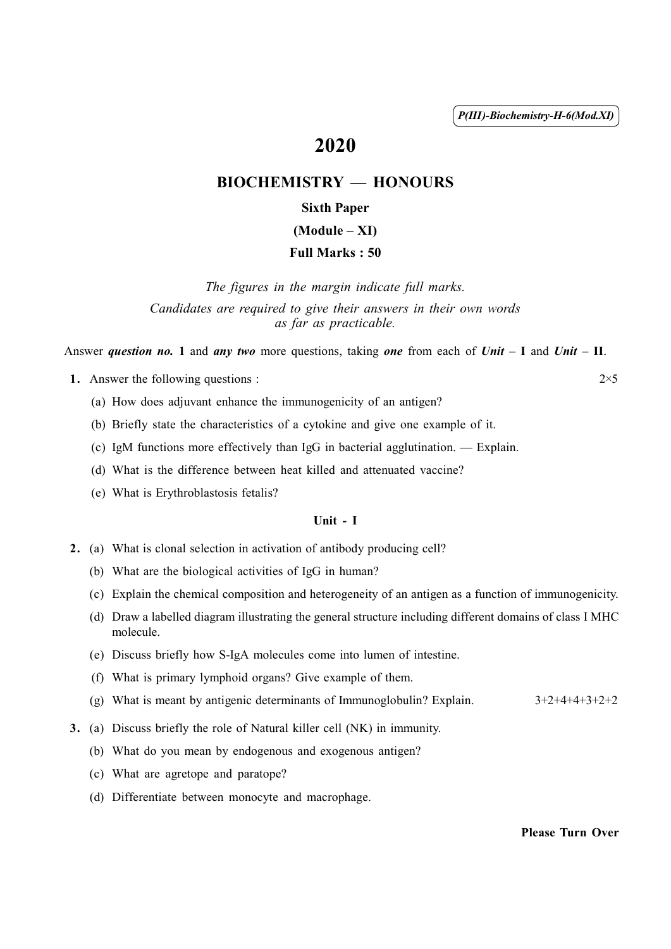( 1 ) *P(III)-Biochemistry-H-6(Mod.XI)*

# 2020

# BIOCHEMISTRY — HONOURS

# Sixth Paper

# (Module – XI)

# Full Marks : 50

*The figures in the margin indicate full marks. Candidates are required to give their answers in their own words as far as practicable.*

Answer *question no.* 1 and *any two* more questions, taking *one* from each of *Unit* – I and *Unit* – II.

1. Answer the following questions :  $2 \times 5$ 

- (a) How does adjuvant enhance the immunogenicity of an antigen?
- (b) Briefly state the characteristics of a cytokine and give one example of it.
- (c) IgM functions more effectively than IgG in bacterial agglutination. Explain.
- (d) What is the difference between heat killed and attenuated vaccine?
- (e) What is Erythroblastosis fetalis?

## Unit - I

- 2. (a) What is clonal selection in activation of antibody producing cell?
	- (b) What are the biological activities of IgG in human?
	- (c) Explain the chemical composition and heterogeneity of an antigen as a function of immunogenicity.
	- (d) Draw a labelled diagram illustrating the general structure including different domains of class I MHC molecule.
	- (e) Discuss briefly how S-IgA molecules come into lumen of intestine.
	- (f) What is primary lymphoid organs? Give example of them.
	- (g) What is meant by antigenic determinants of Immunoglobulin? Explain. 3+2+4+4+3+2+2
- 3. (a) Discuss briefly the role of Natural killer cell (NK) in immunity.
	- (b) What do you mean by endogenous and exogenous antigen?
	- (c) What are agretope and paratope?
	- (d) Differentiate between monocyte and macrophage.

## Please Turn Over